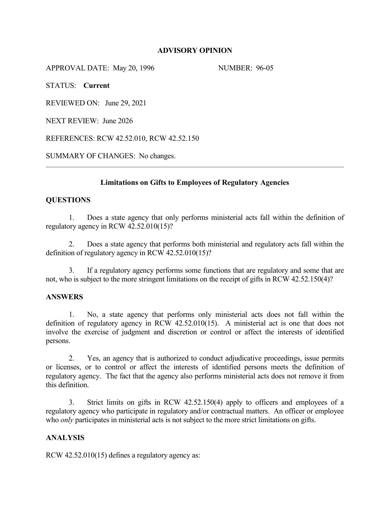# **ADVISORY OPINION**

APPROVAL DATE: May 20, 1996 NUMBER: 96-05

STATUS: **Current** 

REVIEWED ON: June 29, 2021

NEXT REVIEW: June 2026

REFERENCES: RCW 42.52.010, RCW 42.52.150

SUMMARY OF CHANGES: No changes.

## **Limitations on Gifts to Employees of Regulatory Agencies**

## **QUESTIONS**

1. Does a state agency that only performs ministerial acts fall within the definition of regulatory agency in RCW 42.52.010(15)?

2. Does a state agency that performs both ministerial and regulatory acts fall within the definition of regulatory agency in RCW 42.52.010(15)?

3. If a regulatory agency performs some functions that are regulatory and some that are not, who is subject to the more stringent limitations on the receipt of gifts in RCW 42.52.150(4)?

#### **ANSWERS**

1. No, a state agency that performs only ministerial acts does not fall within the definition of regulatory agency in RCW 42.52.010(15). A ministerial act is one that does not involve the exercise of judgment and discretion or control or affect the interests of identified persons.

2. Yes, an agency that is authorized to conduct adjudicative proceedings, issue permits or licenses, or to control or affect the interests of identified persons meets the definition of regulatory agency. The fact that the agency also performs ministerial acts does not remove it from this definition.

3. Strict limits on gifts in RCW 42.52.150(4) apply to officers and employees of a regulatory agency who participate in regulatory and/or contractual matters. An officer or employee who *only* participates in ministerial acts is not subject to the more strict limitations on gifts.

## **ANALYSIS**

RCW 42.52.010(15) defines a regulatory agency as: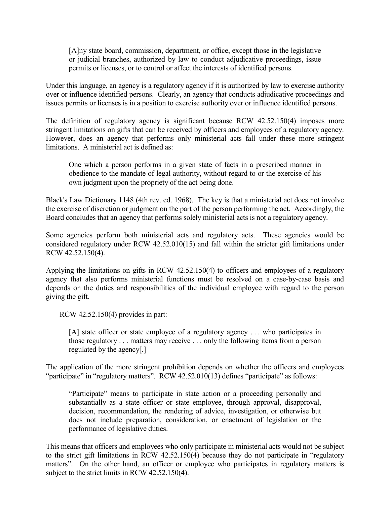[A]ny state board, commission, department, or office, except those in the legislative or judicial branches, authorized by law to conduct adjudicative proceedings, issue permits or licenses, or to control or affect the interests of identified persons.

Under this language, an agency is a regulatory agency if it is authorized by law to exercise authority over or influence identified persons. Clearly, an agency that conducts adjudicative proceedings and issues permits or licenses is in a position to exercise authority over or influence identified persons.

The definition of regulatory agency is significant because RCW 42.52.150(4) imposes more stringent limitations on gifts that can be received by officers and employees of a regulatory agency. However, does an agency that performs only ministerial acts fall under these more stringent limitations. A ministerial act is defined as:

One which a person performs in a given state of facts in a prescribed manner in obedience to the mandate of legal authority, without regard to or the exercise of his own judgment upon the propriety of the act being done.

Black's Law Dictionary 1148 (4th rev. ed. 1968). The key is that a ministerial act does not involve the exercise of discretion or judgment on the part of the person performing the act. Accordingly, the Board concludes that an agency that performs solely ministerial acts is not a regulatory agency.

Some agencies perform both ministerial acts and regulatory acts. These agencies would be considered regulatory under RCW 42.52.010(15) and fall within the stricter gift limitations under RCW 42.52.150(4).

Applying the limitations on gifts in RCW 42.52.150(4) to officers and employees of a regulatory agency that also performs ministerial functions must be resolved on a case-by-case basis and depends on the duties and responsibilities of the individual employee with regard to the person giving the gift.

RCW 42.52.150(4) provides in part:

[A] state officer or state employee of a regulatory agency ... who participates in those regulatory . . . matters may receive . . . only the following items from a person regulated by the agency[.]

The application of the more stringent prohibition depends on whether the officers and employees "participate" in "regulatory matters". RCW 42.52.010(13) defines "participate" as follows:

"Participate" means to participate in state action or a proceeding personally and substantially as a state officer or state employee, through approval, disapproval, decision, recommendation, the rendering of advice, investigation, or otherwise but does not include preparation, consideration, or enactment of legislation or the performance of legislative duties.

This means that officers and employees who only participate in ministerial acts would not be subject to the strict gift limitations in RCW 42.52.150(4) because they do not participate in "regulatory matters". On the other hand, an officer or employee who participates in regulatory matters is subject to the strict limits in RCW 42.52.150(4).